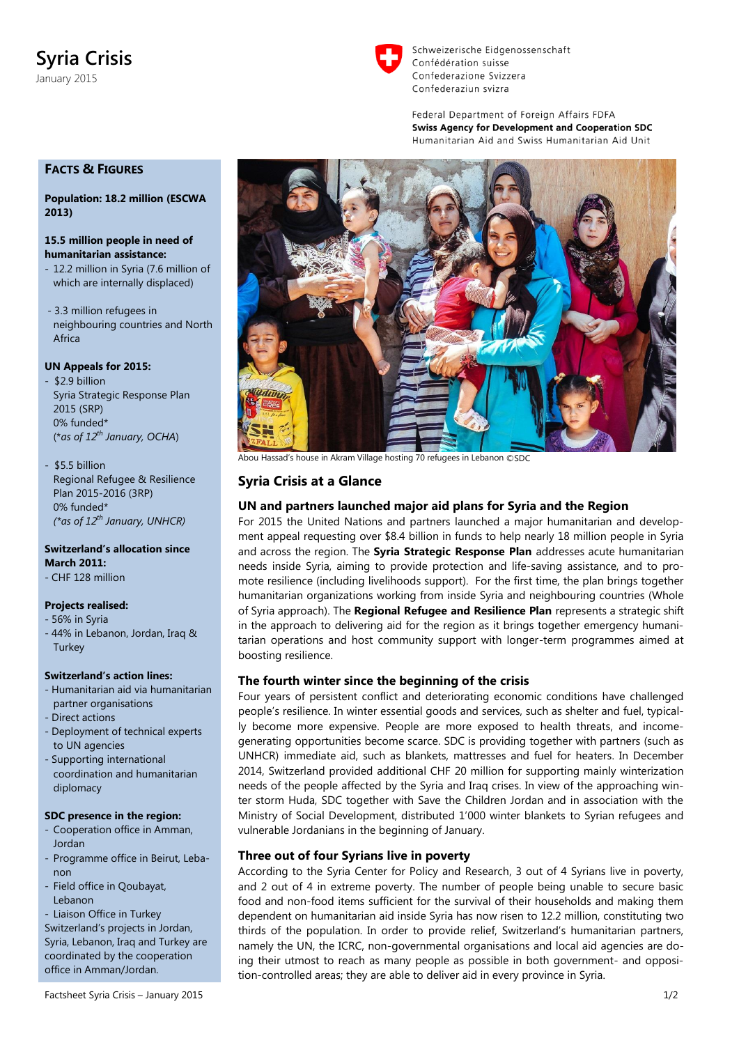# **Syria Crisis**

January 2015



Schweizerische Eidgenossenschaft Confédération suisse Confederazione Svizzera Confederaziun svizra

Federal Department of Foreign Affairs FDFA **Swiss Agency for Development and Cooperation SDC** Humanitarian Aid and Swiss Humanitarian Aid Unit

# **FACTS & FIGURES**

**Population: 18.2 million (ESCWA 2013)**

#### **15.5 million people in need of humanitarian assistance:**

- 12.2 million in Syria (7.6 million of which are internally displaced)
- 3.3 million refugees in neighbouring countries and North Africa

## **UN Appeals for 2015:**

- \$2.9 billion Syria Strategic Response Plan 2015 (SRP) 0% funded\* (\**as of 12th January, OCHA*)
- \$5.5 billion Regional Refugee & Resilience Plan 2015-2016 (3RP) 0% funded\* *(\*as of 12th January, UNHCR)*

**Switzerland's allocation since March 2011:** - CHF 128 million

## **Projects realised:**

- 56% in Syria
- 44% in Lebanon, Jordan, Iraq & **Turkey**

#### **Switzerland's action lines:**

- Humanitarian aid via humanitarian partner organisations
- Direct actions
- Deployment of technical experts to UN agencies
- Supporting international coordination and humanitarian diplomacy

## **SDC presence in the region:**

- Cooperation office in Amman, Jordan
- Programme office in Beirut, Lebanon
- Field office in Qoubayat, Lebanon
- Liaison Office in Turkey

Switzerland's projects in Jordan, Syria, Lebanon, Iraq and Turkey are coordinated by the cooperation office in Amman/Jordan.



Abou Hassad's house in Akram Village hosting 70 refugees in Lebanon ©SDC

# **Syria Crisis at a Glance**

# **UN and partners launched major aid plans for Syria and the Region**

For 2015 the United Nations and partners launched a major humanitarian and development appeal requesting over \$8.4 billion in funds to help nearly 18 million people in Syria and across the region. The **Syria Strategic Response Plan** addresses acute humanitarian needs inside Syria, aiming to provide protection and life-saving assistance, and to promote resilience (including livelihoods support). For the first time, the plan brings together humanitarian organizations working from inside Syria and neighbouring countries (Whole of Syria approach). The **Regional Refugee and Resilience Plan** represents a strategic shift in the approach to delivering aid for the region as it brings together emergency humanitarian operations and host community support with longer-term programmes aimed at boosting resilience.

# **The fourth winter since the beginning of the crisis**

Four years of persistent conflict and deteriorating economic conditions have challenged people's resilience. In winter essential goods and services, such as shelter and fuel, typically become more expensive. People are more exposed to health threats, and incomegenerating opportunities become scarce. SDC is providing together with partners (such as UNHCR) immediate aid, such as blankets, mattresses and fuel for heaters. In December 2014, Switzerland provided additional CHF 20 million for supporting mainly winterization needs of the people affected by the Syria and Iraq crises. In view of the approaching winter storm Huda, SDC together with Save the Children Jordan and in association with the Ministry of Social Development, distributed 1'000 winter blankets to Syrian refugees and vulnerable Jordanians in the beginning of January.

# **Three out of four Syrians live in poverty**

According to the Syria Center for Policy and Research, 3 out of 4 Syrians live in poverty, and 2 out of 4 in extreme poverty. The number of people being unable to secure basic food and non-food items sufficient for the survival of their households and making them dependent on humanitarian aid inside Syria has now risen to 12.2 million, constituting two thirds of the population. In order to provide relief, Switzerland's humanitarian partners, namely the UN, the ICRC, non-governmental organisations and local aid agencies are doing their utmost to reach as many people as possible in both government- and opposition-controlled areas; they are able to deliver aid in every province in Syria.